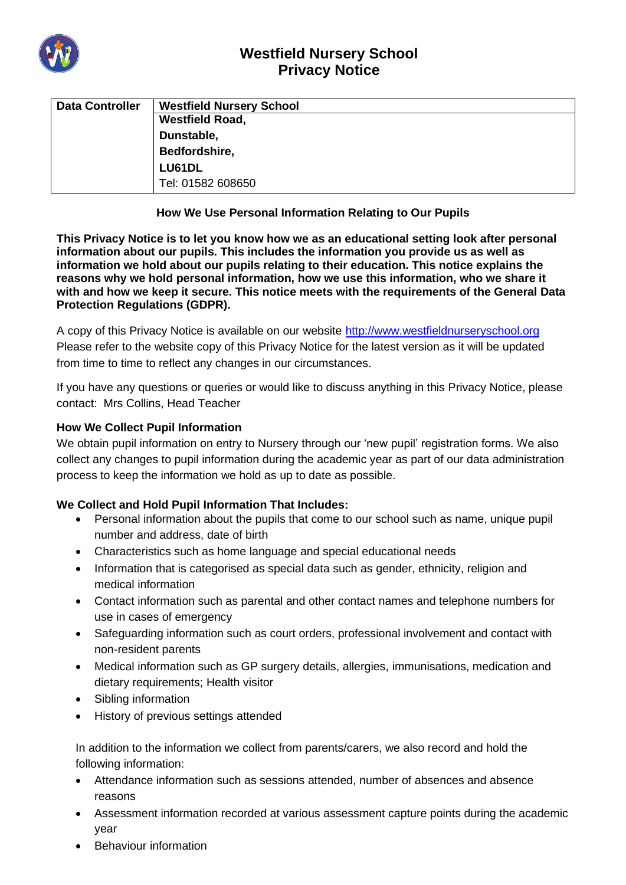

# **Westfield Nursery School Privacy Notice**

| <b>Data Controller</b> | <b>Westfield Nursery School</b> |
|------------------------|---------------------------------|
|                        | <b>Westfield Road,</b>          |
|                        | Dunstable,                      |
|                        | Bedfordshire,                   |
|                        | LU61DL                          |
|                        | Tel: 01582 608650               |

## **How We Use Personal Information Relating to Our Pupils**

**This Privacy Notice is to let you know how we as an educational setting look after personal information about our pupils. This includes the information you provide us as well as information we hold about our pupils relating to their education. This notice explains the reasons why we hold personal information, how we use this information, who we share it with and how we keep it secure. This notice meets with the requirements of the General Data Protection Regulations (GDPR).**

A copy of this Privacy Notice is available on our website [http://www.westfieldnurseryschool.org](http://www.westfieldnurseryschool.org/) Please refer to the website copy of this Privacy Notice for the latest version as it will be updated from time to time to reflect any changes in our circumstances.

If you have any questions or queries or would like to discuss anything in this Privacy Notice, please contact: Mrs Collins, Head Teacher

## **How We Collect Pupil Information**

We obtain pupil information on entry to Nursery through our 'new pupil' registration forms. We also collect any changes to pupil information during the academic year as part of our data administration process to keep the information we hold as up to date as possible.

## **We Collect and Hold Pupil Information That Includes:**

- Personal information about the pupils that come to our school such as name, unique pupil number and address, date of birth
- Characteristics such as home language and special educational needs
- Information that is categorised as special data such as gender, ethnicity, religion and medical information
- Contact information such as parental and other contact names and telephone numbers for use in cases of emergency
- Safeguarding information such as court orders, professional involvement and contact with non-resident parents
- Medical information such as GP surgery details, allergies, immunisations, medication and dietary requirements; Health visitor
- Sibling information
- History of previous settings attended

In addition to the information we collect from parents/carers, we also record and hold the following information:

- Attendance information such as sessions attended, number of absences and absence reasons
- Assessment information recorded at various assessment capture points during the academic year
- Behaviour information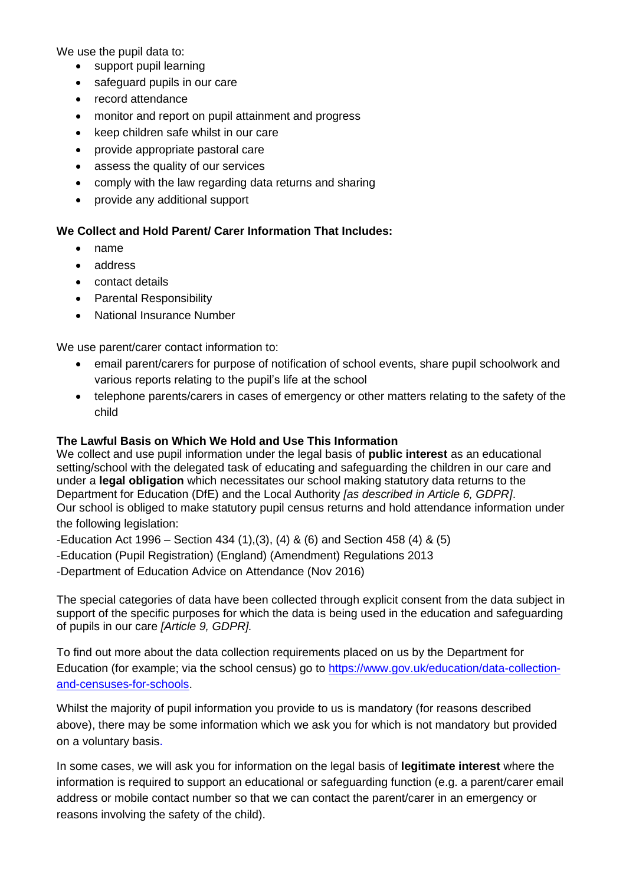We use the pupil data to:

- support pupil learning
- safeguard pupils in our care
- record attendance
- monitor and report on pupil attainment and progress
- keep children safe whilst in our care
- provide appropriate pastoral care
- assess the quality of our services
- comply with the law regarding data returns and sharing
- provide any additional support

# **We Collect and Hold Parent/ Carer Information That Includes:**

- name
- address
- contact details
- Parental Responsibility
- National Insurance Number

We use parent/carer contact information to:

- email parent/carers for purpose of notification of school events, share pupil schoolwork and various reports relating to the pupil's life at the school
- telephone parents/carers in cases of emergency or other matters relating to the safety of the child

#### **The Lawful Basis on Which We Hold and Use This Information**

We collect and use pupil information under the legal basis of **public interest** as an educational setting/school with the delegated task of educating and safeguarding the children in our care and under a **legal obligation** which necessitates our school making statutory data returns to the Department for Education (DfE) and the Local Authority *[as described in Article 6, GDPR]*. Our school is obliged to make statutory pupil census returns and hold attendance information under the following legislation:

-Education Act 1996 – Section 434 (1),(3), (4) & (6) and Section 458 (4) & (5)

-Education (Pupil Registration) (England) (Amendment) Regulations 2013

-Department of Education Advice on Attendance (Nov 2016)

The special categories of data have been collected through explicit consent from the data subject in support of the specific purposes for which the data is being used in the education and safeguarding of pupils in our care *[Article 9, GDPR].*

To find out more about the data collection requirements placed on us by the Department for Education (for example; via the school census) go to [https://www.gov.uk/education/data-collection](https://www.gov.uk/education/data-collection-and-censuses-for-schools)[and-censuses-for-schools.](https://www.gov.uk/education/data-collection-and-censuses-for-schools)

Whilst the majority of pupil information you provide to us is mandatory (for reasons described above), there may be some information which we ask you for which is not mandatory but provided on a voluntary basis.

In some cases, we will ask you for information on the legal basis of **legitimate interest** where the information is required to support an educational or safeguarding function (e.g. a parent/carer email address or mobile contact number so that we can contact the parent/carer in an emergency or reasons involving the safety of the child).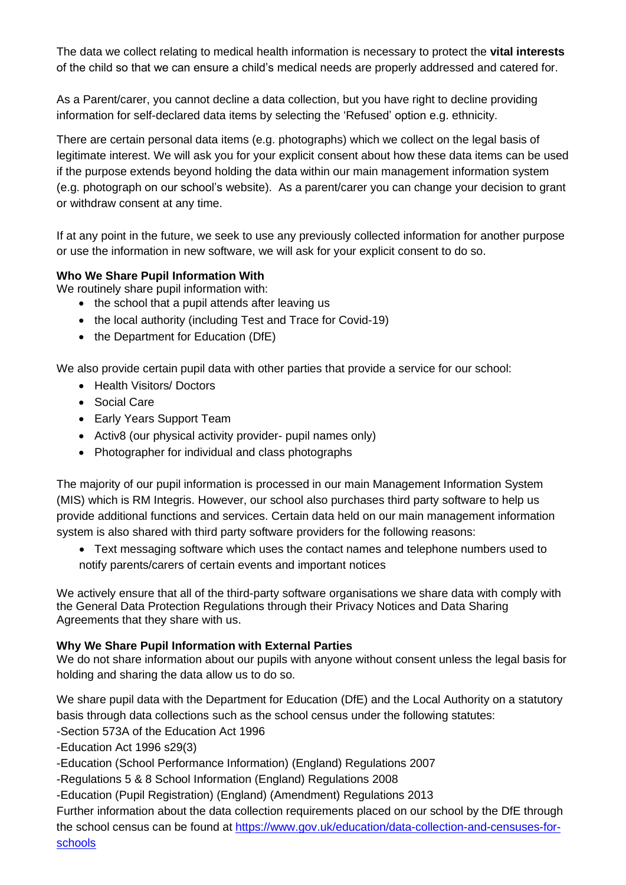The data we collect relating to medical health information is necessary to protect the **vital interests** of the child so that we can ensure a child's medical needs are properly addressed and catered for.

As a Parent/carer, you cannot decline a data collection, but you have right to decline providing information for self-declared data items by selecting the 'Refused' option e.g. ethnicity.

There are certain personal data items (e.g. photographs) which we collect on the legal basis of legitimate interest. We will ask you for your explicit consent about how these data items can be used if the purpose extends beyond holding the data within our main management information system (e.g. photograph on our school's website). As a parent/carer you can change your decision to grant or withdraw consent at any time.

If at any point in the future, we seek to use any previously collected information for another purpose or use the information in new software, we will ask for your explicit consent to do so.

## **Who We Share Pupil Information With**

We routinely share pupil information with:

- the school that a pupil attends after leaving us
- the local authority (including Test and Trace for Covid-19)
- the Department for Education (DfE)

We also provide certain pupil data with other parties that provide a service for our school:

- Health Visitors/ Doctors
- Social Care
- Early Years Support Team
- Activ8 (our physical activity provider- pupil names only)
- Photographer for individual and class photographs

The majority of our pupil information is processed in our main Management Information System (MIS) which is RM Integris. However, our school also purchases third party software to help us provide additional functions and services. Certain data held on our main management information system is also shared with third party software providers for the following reasons:

• Text messaging software which uses the contact names and telephone numbers used to notify parents/carers of certain events and important notices

We actively ensure that all of the third-party software organisations we share data with comply with the General Data Protection Regulations through their Privacy Notices and Data Sharing Agreements that they share with us.

## **Why We Share Pupil Information with External Parties**

We do not share information about our pupils with anyone without consent unless the legal basis for holding and sharing the data allow us to do so.

We share pupil data with the Department for Education (DfE) and the Local Authority on a statutory basis through data collections such as the school census under the following statutes:

-Section 573A of the Education Act 1996

-Education Act 1996 s29(3)

- -Education (School Performance Information) (England) Regulations 2007
- -Regulations 5 & 8 School Information (England) Regulations 2008

-Education (Pupil Registration) (England) (Amendment) Regulations 2013

Further information about the data collection requirements placed on our school by the DfE through the school census can be found at [https://www.gov.uk/education/data-collection-and-censuses-for](https://www.gov.uk/education/data-collection-and-censuses-for-schools)[schools](https://www.gov.uk/education/data-collection-and-censuses-for-schools)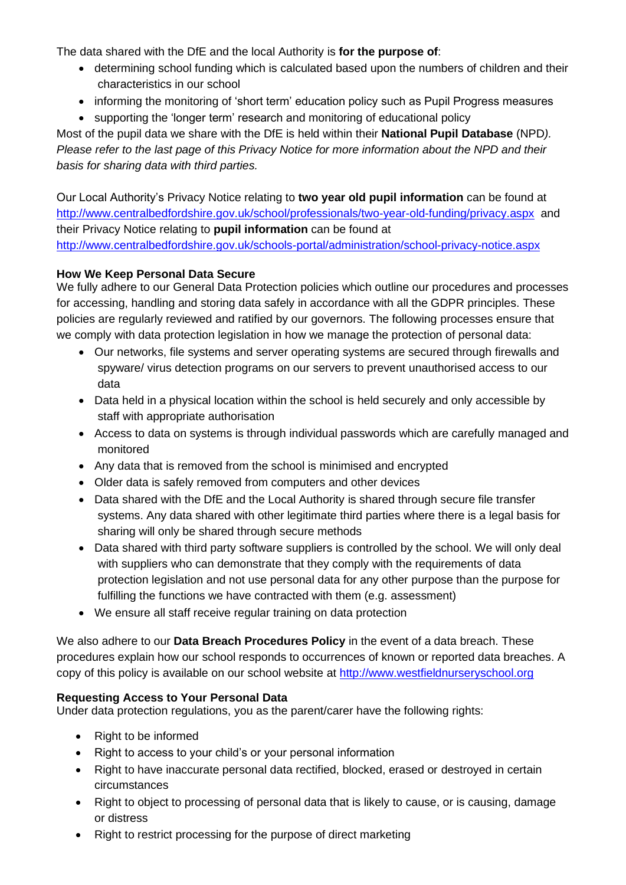The data shared with the DfE and the local Authority is **for the purpose of**:

- determining school funding which is calculated based upon the numbers of children and their characteristics in our school
- informing the monitoring of 'short term' education policy such as Pupil Progress measures
- supporting the 'longer term' research and monitoring of educational policy

Most of the pupil data we share with the DfE is held within their **National Pupil Database** (NPD*). Please refer to the last page of this Privacy Notice for more information about the NPD and their basis for sharing data with third parties.*

Our Local Authority's Privacy Notice relating to **two year old pupil information** can be found at <http://www.centralbedfordshire.gov.uk/school/professionals/two-year-old-funding/privacy.aspx> and their Privacy Notice relating to **pupil information** can be found at <http://www.centralbedfordshire.gov.uk/schools-portal/administration/school-privacy-notice.aspx>

## **How We Keep Personal Data Secure**

We fully adhere to our General Data Protection policies which outline our procedures and processes for accessing, handling and storing data safely in accordance with all the GDPR principles. These policies are regularly reviewed and ratified by our governors. The following processes ensure that we comply with data protection legislation in how we manage the protection of personal data:

- Our networks, file systems and server operating systems are secured through firewalls and spyware/ virus detection programs on our servers to prevent unauthorised access to our data
- Data held in a physical location within the school is held securely and only accessible by staff with appropriate authorisation
- Access to data on systems is through individual passwords which are carefully managed and monitored
- Any data that is removed from the school is minimised and encrypted
- Older data is safely removed from computers and other devices
- Data shared with the DfE and the Local Authority is shared through secure file transfer systems. Any data shared with other legitimate third parties where there is a legal basis for sharing will only be shared through secure methods
- Data shared with third party software suppliers is controlled by the school. We will only deal with suppliers who can demonstrate that they comply with the requirements of data protection legislation and not use personal data for any other purpose than the purpose for fulfilling the functions we have contracted with them (e.g. assessment)
- We ensure all staff receive regular training on data protection

We also adhere to our **Data Breach Procedures Policy** in the event of a data breach. These procedures explain how our school responds to occurrences of known or reported data breaches. A copy of this policy is available on our school website at [http://www.westfieldnurseryschool.org](http://www.westfieldnurseryschool.org/)

## **Requesting Access to Your Personal Data**

Under data protection regulations, you as the parent/carer have the following rights:

- Right to be informed
- Right to access to your child's or your personal information
- Right to have inaccurate personal data rectified, blocked, erased or destroyed in certain circumstances
- Right to object to processing of personal data that is likely to cause, or is causing, damage or distress
- Right to restrict processing for the purpose of direct marketing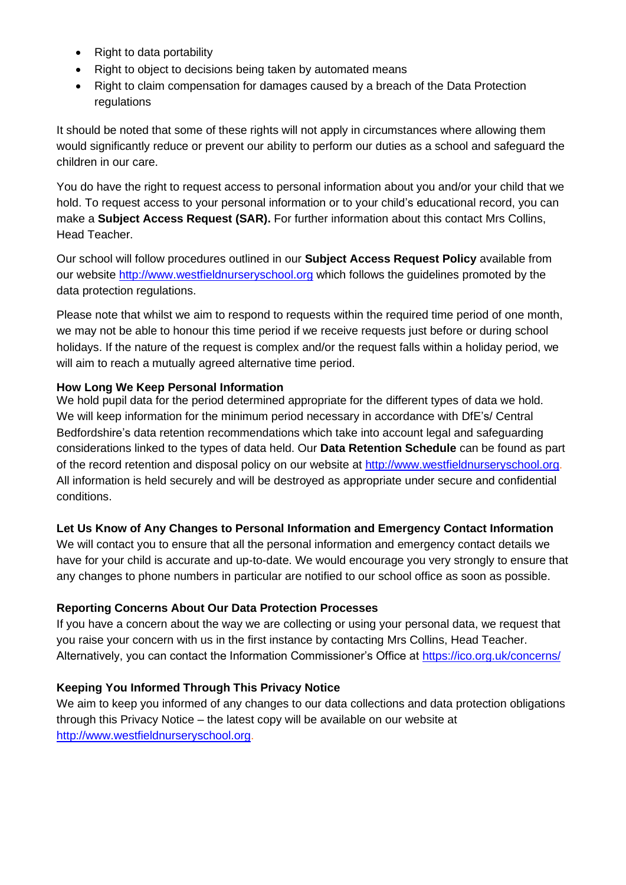- Right to data portability
- Right to object to decisions being taken by automated means
- Right to claim compensation for damages caused by a breach of the Data Protection regulations

It should be noted that some of these rights will not apply in circumstances where allowing them would significantly reduce or prevent our ability to perform our duties as a school and safeguard the children in our care.

You do have the right to request access to personal information about you and/or your child that we hold. To request access to your personal information or to your child's educational record, you can make a **Subject Access Request (SAR).** For further information about this contact Mrs Collins, Head Teacher.

Our school will follow procedures outlined in our **Subject Access Request Policy** available from our website [http://www.westfieldnurseryschool.org](http://www.westfieldnurseryschool.org/) which follows the guidelines promoted by the data protection regulations.

Please note that whilst we aim to respond to requests within the required time period of one month, we may not be able to honour this time period if we receive requests just before or during school holidays. If the nature of the request is complex and/or the request falls within a holiday period, we will aim to reach a mutually agreed alternative time period.

## **How Long We Keep Personal Information**

We hold pupil data for the period determined appropriate for the different types of data we hold. We will keep information for the minimum period necessary in accordance with DfE's/ Central Bedfordshire's data retention recommendations which take into account legal and safeguarding considerations linked to the types of data held. Our **Data Retention Schedule** can be found as part of the record retention and disposal policy on our website at [http://www.westfieldnurseryschool.org.](http://www.westfieldnurseryschool.org/) All information is held securely and will be destroyed as appropriate under secure and confidential conditions.

## **Let Us Know of Any Changes to Personal Information and Emergency Contact Information**

We will contact you to ensure that all the personal information and emergency contact details we have for your child is accurate and up-to-date. We would encourage you very strongly to ensure that any changes to phone numbers in particular are notified to our school office as soon as possible.

#### **Reporting Concerns About Our Data Protection Processes**

If you have a concern about the way we are collecting or using your personal data, we request that you raise your concern with us in the first instance by contacting Mrs Collins, Head Teacher. Alternatively, you can contact the Information Commissioner's Office at<https://ico.org.uk/concerns/>

## **Keeping You Informed Through This Privacy Notice**

We aim to keep you informed of any changes to our data collections and data protection obligations through this Privacy Notice – the latest copy will be available on our website at [http://www.westfieldnurseryschool.org.](http://www.westfieldnurseryschool.org/)